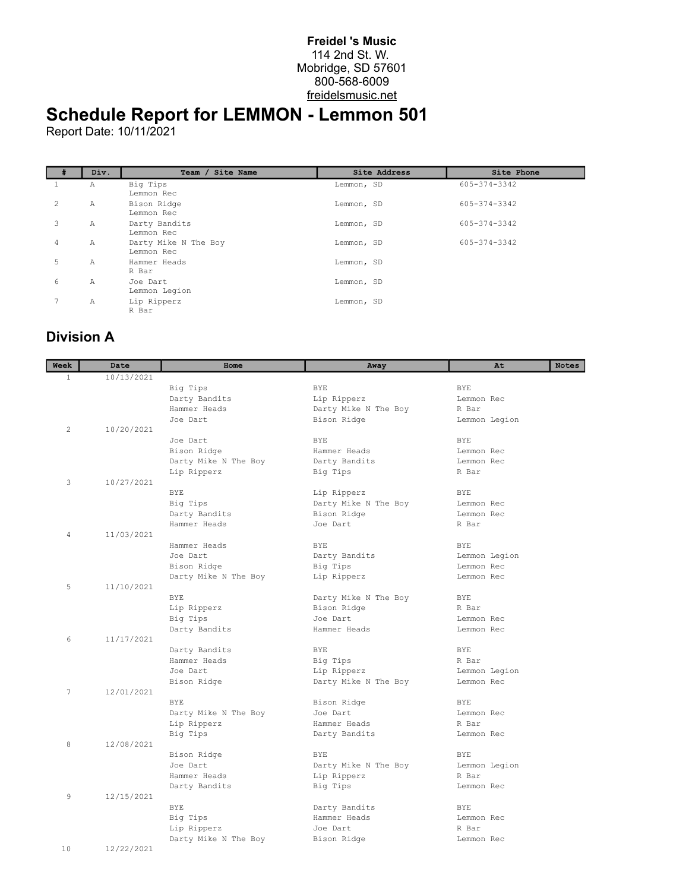## **Freidel 's Music** 114 2nd St. W. Mobridge, SD 57601 800-568-6009 freidelsmusic.net

## **Schedule Report for LEMMON - Lemmon 501**

Report Date: 10/11/2021

| # | Div. | Team / Site Name                   | Site Address | Site Phone   |
|---|------|------------------------------------|--------------|--------------|
|   | Α    | Big Tips<br>Lemmon Rec             | Lemmon, SD   | 605-374-3342 |
| 2 | Α    | Bison Ridge<br>Lemmon Rec          | Lemmon, SD   | 605-374-3342 |
| 3 | Α    | Darty Bandits<br>Lemmon Rec        | Lemmon, SD   | 605-374-3342 |
| 4 | Α    | Darty Mike N The Boy<br>Lemmon Rec | Lemmon, SD   | 605-374-3342 |
| 5 | Α    | Hammer Heads<br>R Bar              | Lemmon, SD   |              |
| 6 | Α    | Joe Dart<br>Lemmon Legion          | Lemmon, SD   |              |
|   | Α    | Lip Ripperz<br>R Bar               | Lemmon, SD   |              |

## **Division A**

| Week         | Date       | Home                 | Away                          | At<br><b>Notes</b>  |
|--------------|------------|----------------------|-------------------------------|---------------------|
| $\mathbf{1}$ | 10/13/2021 |                      |                               |                     |
|              |            | Big Tips             | <b>BYE</b>                    | <b>BYE</b>          |
|              |            | Darty Bandits        | Lip Ripperz                   | Lemmon Rec          |
|              |            | Hammer Heads         | Darty Mike N The Boy          | R Bar               |
|              |            | Joe Dart             | Bison Ridge                   | Lemmon Legion       |
| 2            | 10/20/2021 |                      |                               |                     |
|              |            | Joe Dart             | <b>BYE</b>                    | <b>BYE</b>          |
|              |            | Bison Ridge          | Hammer Heads                  | Lemmon Rec          |
|              |            | Darty Mike N The Boy | Darty Bandits                 | Lemmon Rec          |
|              |            | Lip Ripperz          | Big Tips                      | R Bar               |
| 3            | 10/27/2021 |                      |                               |                     |
|              |            | <b>BYE</b>           | Lip Ripperz                   | <b>BYE</b>          |
|              |            | Big Tips             | Darty Mike N The Boy          | Lemmon Rec          |
|              |            | Darty Bandits        | Bison Ridge                   | Lemmon Rec          |
|              |            | Hammer Heads         | Joe Dart                      | R Bar               |
| 4            | 11/03/2021 |                      |                               |                     |
|              |            | Hammer Heads         | <b>BYE</b>                    | <b>BYE</b>          |
|              |            | Joe Dart             | Darty Bandits                 | Lemmon Legion       |
|              |            | Bison Ridge          | Big Tips                      | Lemmon Rec          |
|              |            | Darty Mike N The Boy | Lip Ripperz                   | Lemmon Rec          |
| 5            | 11/10/2021 |                      |                               |                     |
|              |            | <b>BYE</b>           | Darty Mike N The Boy          | <b>BYE</b>          |
|              |            | Lip Ripperz          | Bison Ridge                   | R Bar               |
|              |            | Big Tips             | Joe Dart                      | Lemmon Rec          |
|              |            | Darty Bandits        | Hammer Heads                  | Lemmon Rec          |
| 6            | 11/17/2021 |                      |                               |                     |
|              |            | Darty Bandits        | <b>BYE</b>                    | <b>BYE</b>          |
|              |            | Hammer Heads         | Big Tips                      | R Bar               |
|              |            | Joe Dart             | Lip Ripperz                   | Lemmon Legion       |
|              |            | Bison Ridge          | Darty Mike N The Boy          | Lemmon Rec          |
| 7            | 12/01/2021 |                      |                               |                     |
|              |            | <b>BYE</b>           | Bison Ridge                   | <b>BYE</b>          |
|              |            | Darty Mike N The Boy | Joe Dart                      | Lemmon Rec          |
|              |            | Lip Ripperz          | Hammer Heads                  | R Bar               |
|              |            | Big Tips             | Darty Bandits                 | Lemmon Rec          |
| 8            | 12/08/2021 |                      |                               |                     |
|              |            | Bison Ridge          | BYE                           | BYE                 |
|              |            | Joe Dart             | Darty Mike N The Boy          | Lemmon Legion       |
|              |            | Hammer Heads         | Lip Ripperz                   | R Bar               |
|              |            | Darty Bandits        | Big Tips                      | Lemmon Rec          |
| 9            | 12/15/2021 |                      |                               |                     |
|              |            | BYE                  | Darty Bandits<br>Hammer Heads | <b>BYE</b>          |
|              |            | Big Tips             | Joe Dart                      | Lemmon Rec<br>R Bar |
|              |            | Lip Ripperz          |                               | Lemmon Rec          |
| 10           | 12/22/2021 | Darty Mike N The Boy | Bison Ridge                   |                     |
|              |            |                      |                               |                     |